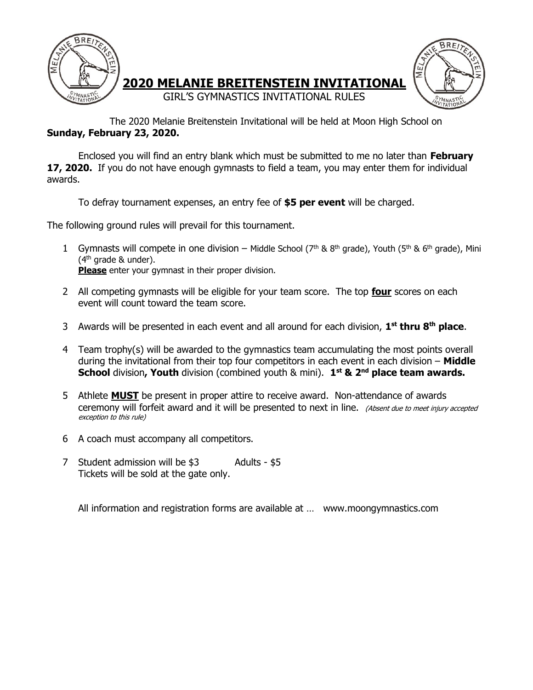



 The 2020 Melanie Breitenstein Invitational will be held at Moon High School on Sunday, February 23, 2020.

Enclosed you will find an entry blank which must be submitted to me no later than February 17, 2020. If you do not have enough gymnasts to field a team, you may enter them for individual awards.

GIRL'S GYMNASTICS INVITATIONAL RULES

To defray tournament expenses, an entry fee of **\$5 per event** will be charged.

The following ground rules will prevail for this tournament.

- 1 Gymnasts will compete in one division Middle School ( $7<sup>th</sup>$  &  $8<sup>th</sup>$  grade), Youth ( $5<sup>th</sup>$  &  $6<sup>th</sup>$  grade), Mini  $(4<sup>th</sup>$  grade & under). Please enter your gymnast in their proper division.
- 2 All competing gymnasts will be eligible for your team score. The top **four** scores on each event will count toward the team score.
- 3 Awards will be presented in each event and all around for each division, 1<sup>st</sup> thru 8<sup>th</sup> place.
- 4 Team trophy(s) will be awarded to the gymnastics team accumulating the most points overall during the invitational from their top four competitors in each event in each division – Middle School division, Youth division (combined youth & mini). 1<sup>st</sup> & 2<sup>nd</sup> place team awards.
- 5 Athlete **MUST** be present in proper attire to receive award. Non-attendance of awards ceremony will forfeit award and it will be presented to next in line. (Absent due to meet injury accepted exception to this rule)
- 6 A coach must accompany all competitors.
- 7 Student admission will be \$3 Adults \$5 Tickets will be sold at the gate only.

All information and registration forms are available at … www.moongymnastics.com